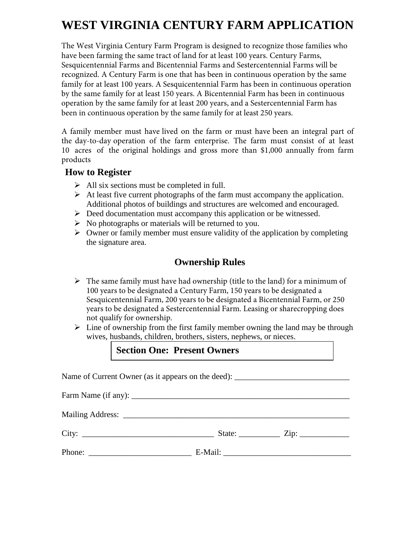# **WEST VIRGINIA CENTURY FARM APPLICATION**

The West Virginia Century Farm Program is designed to recognize those families who have been farming the same tract of land for at least 100 years. Century Farms, Sesquicentennial Farms and Bicentennial Farms and Sestercentennial Farms will be recognized. A Century Farm is one that has been in continuous operation by the same family for at least 100 years. A Sesquicentennial Farm has been in continuous operation by the same family for at least 150 years. A Bicentennial Farm has been in continuous operation by the same family for at least 200 years, and a Sestercentennial Farm has been in continuous operation by the same family for at least 250 years.

A family member must have lived on the farm or must have been an integral part of the day-to-day operation of the farm enterprise. The farm must consist of at least 10 acres of the original holdings and gross more than \$1,000 annually from farm products

#### **How to Register**

- $\triangleright$  All six sections must be completed in full.
- $\triangleright$  At least five current photographs of the farm must accompany the application. Additional photos of buildings and structures are welcomed and encouraged.
- $\triangleright$  Deed documentation must accompany this application or be witnessed.
- $\triangleright$  No photographs or materials will be returned to you.
- $\triangleright$  Owner or family member must ensure validity of the application by completing the signature area.

#### **Ownership Rules**

- $\triangleright$  The same family must have had ownership (title to the land) for a minimum of 100 years to be designated a Century Farm, 150 years to be designated a Sesquicentennial Farm, 200 years to be designated a Bicentennial Farm, or 250 years to be designated a Sestercentennial Farm. Leasing or sharecropping does not qualify for ownership.
- $\triangleright$  Line of ownership from the first family member owning the land may be through wives, husbands, children, brothers, sisters, nephews, or nieces.

#### **Section One: Present Owners**

Name of Current Owner (as it appears on the deed):

Farm Name (if any):  $\frac{1}{2}$   $\frac{1}{2}$   $\frac{1}{2}$   $\frac{1}{2}$   $\frac{1}{2}$   $\frac{1}{2}$   $\frac{1}{2}$   $\frac{1}{2}$   $\frac{1}{2}$   $\frac{1}{2}$   $\frac{1}{2}$   $\frac{1}{2}$   $\frac{1}{2}$   $\frac{1}{2}$   $\frac{1}{2}$   $\frac{1}{2}$   $\frac{1}{2}$   $\frac{1}{2}$   $\frac{1}{2}$   $\frac{1}{2}$  Mailing Address: \_\_\_\_\_\_\_\_\_\_\_\_\_\_\_\_\_\_\_\_\_\_\_\_\_\_\_\_\_\_\_\_\_\_\_\_\_\_\_\_\_\_\_\_\_\_\_\_\_\_\_\_\_\_\_ City: \_\_\_\_\_\_\_\_\_\_\_\_\_\_\_\_\_\_\_\_\_\_\_\_\_\_\_\_\_\_\_\_ State: \_\_\_\_\_\_\_\_\_\_ Zip: \_\_\_\_\_\_\_\_\_\_\_\_ Phone: E-Mail: E-Mail: E-Mail: E-Mail: E-Mail: E-Mail: E-Mail: E-Mail: E-Mail: E-Mail: E-Mail: E-Mail: E-Mail: E-Mail: E-Mail: E-Mail: E-Mail: E-Mail: E-Mail: E-Mail: E-Mail: E-Mail: E-Mail: E-Mail: E-Mail: E-Mail: E-Mail: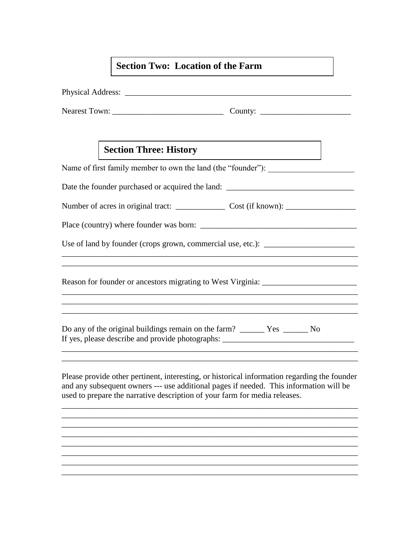## **Section Two: Location of the Farm**

|  | <b>Section Three: History</b>                                                     |                                                                                                                                                                                                                                                                      |  |  |  |
|--|-----------------------------------------------------------------------------------|----------------------------------------------------------------------------------------------------------------------------------------------------------------------------------------------------------------------------------------------------------------------|--|--|--|
|  |                                                                                   | Name of first family member to own the land (the "founder"):                                                                                                                                                                                                         |  |  |  |
|  |                                                                                   | Date the founder purchased or acquired the land: ________________________________                                                                                                                                                                                    |  |  |  |
|  |                                                                                   |                                                                                                                                                                                                                                                                      |  |  |  |
|  |                                                                                   |                                                                                                                                                                                                                                                                      |  |  |  |
|  | Use of land by founder (crops grown, commercial use, etc.): _____________________ |                                                                                                                                                                                                                                                                      |  |  |  |
|  |                                                                                   |                                                                                                                                                                                                                                                                      |  |  |  |
|  |                                                                                   | Reason for founder or ancestors migrating to West Virginia: _____________________                                                                                                                                                                                    |  |  |  |
|  |                                                                                   | <u> 1990 - Johann Barn, fransk politik (d. 1980)</u><br>,我们也不会有什么。""我们的人,我们也不会有什么?""我们的人,我们也不会有什么?""我们的人,我们也不会有什么?""我们的人,我们也不会有什么?""我们的人                                                                                                                             |  |  |  |
|  |                                                                                   | If yes, please describe and provide photographs: ________________________________                                                                                                                                                                                    |  |  |  |
|  |                                                                                   | Please provide other pertinent, interesting, or historical information regarding the founder<br>and any subsequent owners --- use additional pages if needed. This information will be<br>used to prepare the narrative description of your farm for media releases. |  |  |  |
|  |                                                                                   |                                                                                                                                                                                                                                                                      |  |  |  |

\_\_\_\_\_\_\_\_\_\_\_\_\_\_\_\_\_\_\_\_\_\_\_\_\_\_\_\_\_\_\_\_\_\_\_\_\_\_\_\_\_\_\_\_\_\_\_\_\_\_\_\_\_\_\_\_\_\_\_\_\_\_\_\_\_\_\_\_\_\_\_\_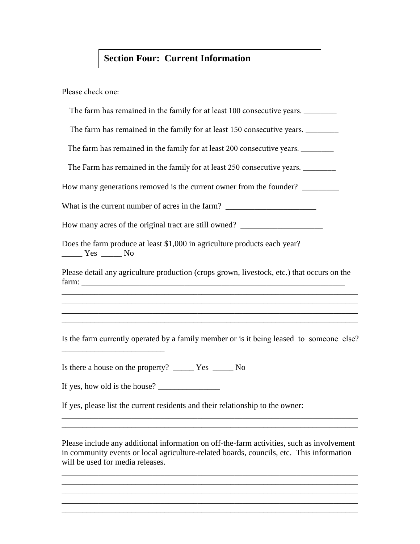## **Section Four: Current Information**

Please check one:

| The farm has remained in the family for at least 100 consecutive years.                                                                                                                                        |
|----------------------------------------------------------------------------------------------------------------------------------------------------------------------------------------------------------------|
| The farm has remained in the family for at least 150 consecutive years. _________                                                                                                                              |
| The farm has remained in the family for at least 200 consecutive years.                                                                                                                                        |
| The Farm has remained in the family for at least 250 consecutive years. _________                                                                                                                              |
| How many generations removed is the current owner from the founder? ____________                                                                                                                               |
| What is the current number of acres in the farm? ________________________________                                                                                                                              |
| How many acres of the original tract are still owned? __________________________                                                                                                                               |
| Does the farm produce at least \$1,000 in agriculture products each year?<br>$\frac{1}{\sqrt{1-\frac{1}{2}}}$ Yes $\frac{1}{\sqrt{1-\frac{1}{2}}}$ No                                                          |
| Please detail any agriculture production (crops grown, livestock, etc.) that occurs on the<br>and the control of the control of the control of the control of the control of the control of the control of the |
| ,我们也不会有什么。""我们的人,我们也不会有什么?""我们的人,我们也不会有什么?""我们的人,我们也不会有什么?""我们的人,我们也不会有什么?""我们的人                                                                                                                               |
| Is the farm currently operated by a family member or is it being leased to someone else?<br><u> 2000 - Andrea Andrew Maria (b. 1989)</u>                                                                       |
|                                                                                                                                                                                                                |
| If yes, how old is the house?                                                                                                                                                                                  |
| If yes, please list the current residents and their relationship to the owner:                                                                                                                                 |
|                                                                                                                                                                                                                |

Please include any additional information on off-the-farm activities, such as involvement in community events or local agriculture-related boards, councils, etc. This information will be used for media releases.

\_\_\_\_\_\_\_\_\_\_\_\_\_\_\_\_\_\_\_\_\_\_\_\_\_\_\_\_\_\_\_\_\_\_\_\_\_\_\_\_\_\_\_\_\_\_\_\_\_\_\_\_\_\_\_\_\_\_\_\_\_\_\_\_\_\_\_\_\_\_\_\_ \_\_\_\_\_\_\_\_\_\_\_\_\_\_\_\_\_\_\_\_\_\_\_\_\_\_\_\_\_\_\_\_\_\_\_\_\_\_\_\_\_\_\_\_\_\_\_\_\_\_\_\_\_\_\_\_\_\_\_\_\_\_\_\_\_\_\_\_\_\_\_\_ \_\_\_\_\_\_\_\_\_\_\_\_\_\_\_\_\_\_\_\_\_\_\_\_\_\_\_\_\_\_\_\_\_\_\_\_\_\_\_\_\_\_\_\_\_\_\_\_\_\_\_\_\_\_\_\_\_\_\_\_\_\_\_\_\_\_\_\_\_\_\_\_ \_\_\_\_\_\_\_\_\_\_\_\_\_\_\_\_\_\_\_\_\_\_\_\_\_\_\_\_\_\_\_\_\_\_\_\_\_\_\_\_\_\_\_\_\_\_\_\_\_\_\_\_\_\_\_\_\_\_\_\_\_\_\_\_\_\_\_\_\_\_\_\_ \_\_\_\_\_\_\_\_\_\_\_\_\_\_\_\_\_\_\_\_\_\_\_\_\_\_\_\_\_\_\_\_\_\_\_\_\_\_\_\_\_\_\_\_\_\_\_\_\_\_\_\_\_\_\_\_\_\_\_\_\_\_\_\_\_\_\_\_\_\_\_\_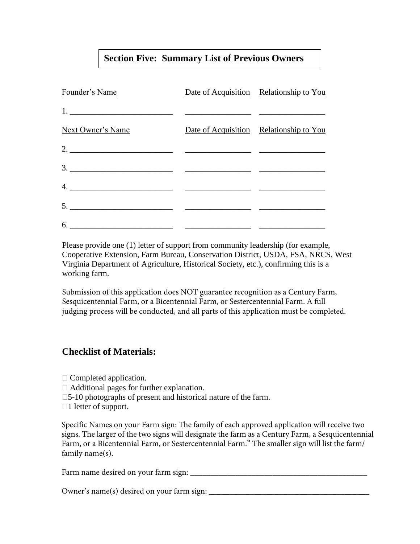## **Section Five: Summary List of Previous Owners**

| Founder's Name                                                                                                                                                                                                                                                                                                                                                                                                                                                           | Date of Acquisition Relationship to You |
|--------------------------------------------------------------------------------------------------------------------------------------------------------------------------------------------------------------------------------------------------------------------------------------------------------------------------------------------------------------------------------------------------------------------------------------------------------------------------|-----------------------------------------|
|                                                                                                                                                                                                                                                                                                                                                                                                                                                                          |                                         |
| Next Owner's Name                                                                                                                                                                                                                                                                                                                                                                                                                                                        | Date of Acquisition Relationship to You |
| 2. $\overline{\phantom{a}}$ $\overline{\phantom{a}}$ $\overline{\phantom{a}}$ $\overline{\phantom{a}}$ $\overline{\phantom{a}}$ $\overline{\phantom{a}}$ $\overline{\phantom{a}}$ $\overline{\phantom{a}}$ $\overline{\phantom{a}}$ $\overline{\phantom{a}}$ $\overline{\phantom{a}}$ $\overline{\phantom{a}}$ $\overline{\phantom{a}}$ $\overline{\phantom{a}}$ $\overline{\phantom{a}}$ $\overline{\phantom{a}}$ $\overline{\phantom{a}}$ $\overline{\phantom{a}}$ $\$ |                                         |
|                                                                                                                                                                                                                                                                                                                                                                                                                                                                          |                                         |
|                                                                                                                                                                                                                                                                                                                                                                                                                                                                          |                                         |
| $5.$ $\overline{\phantom{a}}$ $\overline{\phantom{a}}$ $\overline{\phantom{a}}$ $\overline{\phantom{a}}$ $\overline{\phantom{a}}$ $\overline{\phantom{a}}$ $\overline{\phantom{a}}$ $\overline{\phantom{a}}$ $\overline{\phantom{a}}$ $\overline{\phantom{a}}$ $\overline{\phantom{a}}$ $\overline{\phantom{a}}$ $\overline{\phantom{a}}$ $\overline{\phantom{a}}$ $\overline{\phantom{a}}$ $\overline{\phantom{a}}$ $\overline{\phantom{a}}$ $\overline{\phantom{a}}$   |                                         |
|                                                                                                                                                                                                                                                                                                                                                                                                                                                                          |                                         |

Please provide one (1) letter of support from community leadership (for example, Cooperative Extension, Farm Bureau, Conservation District, USDA, FSA, NRCS, West Virginia Department of Agriculture, Historical Society, etc.), confirming this is a working farm.

Submission of this application does NOT guarantee recognition as a Century Farm, Sesquicentennial Farm, or a Bicentennial Farm, or Sestercentennial Farm. A full judging process will be conducted, and all parts of this application must be completed.

#### **Checklist of Materials:**

 $\Box$  Completed application.

- Additional pages for further explanation.
- □5-10 photographs of present and historical nature of the farm.
- □1 letter of support.

Specific Names on your Farm sign: The family of each approved application will receive two signs. The larger of the two signs will designate the farm as a Century Farm, a Sesquicentennial Farm, or a Bicentennial Farm, or Sestercentennial Farm." The smaller sign will list the farm/ family name(s).

| Farm name desired on your farm sign: |  |
|--------------------------------------|--|
|                                      |  |

Owner's name(s) desired on your farm sign: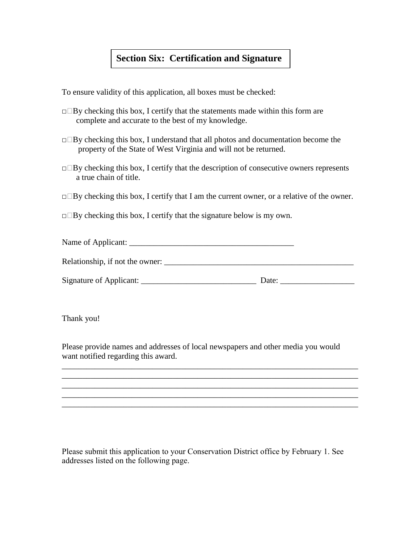#### **Section Six: Certification and Signature**

To ensure validity of this application, all boxes must be checked:

- $\Box$ By checking this box, I certify that the statements made within this form are complete and accurate to the best of my knowledge.
- $\Box$ By checking this box, I understand that all photos and documentation become the property of the State of West Virginia and will not be returned.
- $\Box$ By checking this box, I certify that the description of consecutive owners represents a true chain of title.
- $\Box$ By checking this box, I certify that I am the current owner, or a relative of the owner.
- $\Box$ By checking this box, I certify that the signature below is my own.

| Name of Applicant:              |       |  |  |  |  |
|---------------------------------|-------|--|--|--|--|
| Relationship, if not the owner: |       |  |  |  |  |
| Signature of Applicant:         | Date: |  |  |  |  |

Thank you!

Please provide names and addresses of local newspapers and other media you would want notified regarding this award.

\_\_\_\_\_\_\_\_\_\_\_\_\_\_\_\_\_\_\_\_\_\_\_\_\_\_\_\_\_\_\_\_\_\_\_\_\_\_\_\_\_\_\_\_\_\_\_\_\_\_\_\_\_\_\_\_\_\_\_\_\_\_\_\_\_\_\_\_\_\_\_\_ \_\_\_\_\_\_\_\_\_\_\_\_\_\_\_\_\_\_\_\_\_\_\_\_\_\_\_\_\_\_\_\_\_\_\_\_\_\_\_\_\_\_\_\_\_\_\_\_\_\_\_\_\_\_\_\_\_\_\_\_\_\_\_\_\_\_\_\_\_\_\_\_ \_\_\_\_\_\_\_\_\_\_\_\_\_\_\_\_\_\_\_\_\_\_\_\_\_\_\_\_\_\_\_\_\_\_\_\_\_\_\_\_\_\_\_\_\_\_\_\_\_\_\_\_\_\_\_\_\_\_\_\_\_\_\_\_\_\_\_\_\_\_\_\_ \_\_\_\_\_\_\_\_\_\_\_\_\_\_\_\_\_\_\_\_\_\_\_\_\_\_\_\_\_\_\_\_\_\_\_\_\_\_\_\_\_\_\_\_\_\_\_\_\_\_\_\_\_\_\_\_\_\_\_\_\_\_\_\_\_\_\_\_\_\_\_\_ \_\_\_\_\_\_\_\_\_\_\_\_\_\_\_\_\_\_\_\_\_\_\_\_\_\_\_\_\_\_\_\_\_\_\_\_\_\_\_\_\_\_\_\_\_\_\_\_\_\_\_\_\_\_\_\_\_\_\_\_\_\_\_\_\_\_\_\_\_\_\_\_

Please submit this application to your Conservation District office by February 1. See addresses listed on the following page.